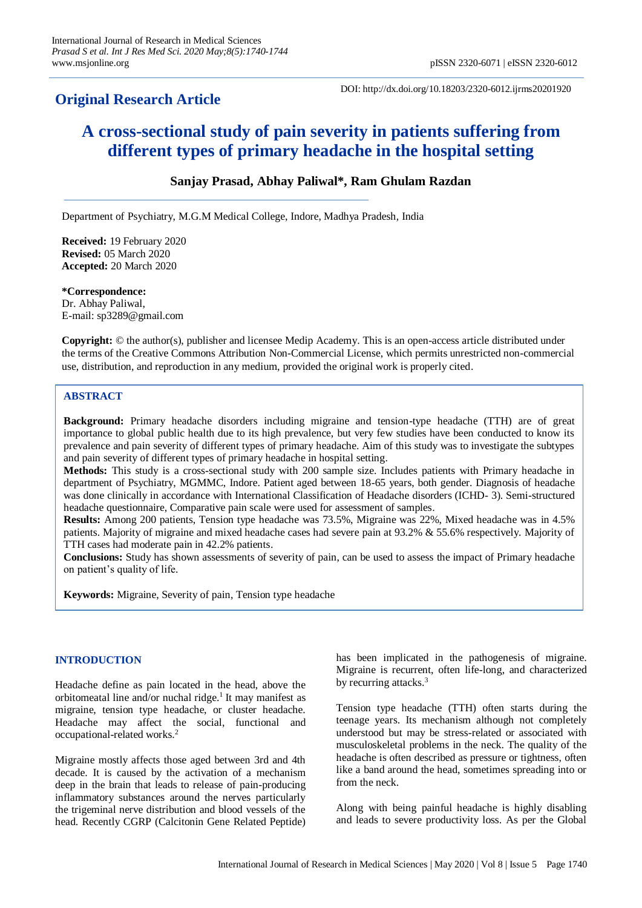## **Original Research Article**

DOI: http://dx.doi.org/10.18203/2320-6012.ijrms20201920

# **A cross-sectional study of pain severity in patients suffering from different types of primary headache in the hospital setting**

### **Sanjay Prasad, Abhay Paliwal\*, Ram Ghulam Razdan**

Department of Psychiatry, M.G.M Medical College, Indore, Madhya Pradesh, India

**Received:** 19 February 2020 **Revised:** 05 March 2020 **Accepted:** 20 March 2020

**\*Correspondence:** Dr. Abhay Paliwal, E-mail: sp3289@gmail.com

**Copyright:** © the author(s), publisher and licensee Medip Academy. This is an open-access article distributed under the terms of the Creative Commons Attribution Non-Commercial License, which permits unrestricted non-commercial use, distribution, and reproduction in any medium, provided the original work is properly cited.

#### **ABSTRACT**

**Background:** Primary headache disorders including migraine and tension-type headache (TTH) are of great importance to global public health due to its high prevalence, but very few studies have been conducted to know its prevalence and pain severity of different types of primary headache. Aim of this study was to investigate the subtypes and pain severity of different types of primary headache in hospital setting.

**Methods:** This study is a cross-sectional study with 200 sample size. Includes patients with Primary headache in department of Psychiatry, MGMMC, Indore. Patient aged between 18-65 years, both gender. Diagnosis of headache was done clinically in accordance with International Classification of Headache disorders (ICHD- 3). Semi-structured headache questionnaire, Comparative pain scale were used for assessment of samples.

**Results:** Among 200 patients, Tension type headache was 73.5%, Migraine was 22%, Mixed headache was in 4.5% patients. Majority of migraine and mixed headache cases had severe pain at 93.2% & 55.6% respectively. Majority of TTH cases had moderate pain in 42.2% patients.

**Conclusions:** Study has shown assessments of severity of pain, can be used to assess the impact of Primary headache on patient's quality of life.

**Keywords:** Migraine, Severity of pain, Tension type headache

#### **INTRODUCTION**

Headache define as pain located in the head, above the orbitomeatal line and/or nuchal ridge.<sup>1</sup> It may manifest as migraine, tension type headache, or cluster headache. Headache may affect the social, functional and occupational-related works.<sup>2</sup>

Migraine mostly affects those aged between 3rd and 4th decade. It is caused by the activation of a mechanism deep in the brain that leads to release of pain-producing inflammatory substances around the nerves particularly the trigeminal nerve distribution and blood vessels of the head. Recently CGRP (Calcitonin Gene Related Peptide) has been implicated in the pathogenesis of migraine. Migraine is recurrent, often life-long, and characterized by recurring attacks.<sup>3</sup>

Tension type headache (TTH) often starts during the teenage years. Its mechanism although not completely understood but may be stress-related or associated with musculoskeletal problems in the neck. The quality of the headache is often described as pressure or tightness, often like a band around the head, sometimes spreading into or from the neck.

Along with being painful headache is highly disabling and leads to severe productivity loss. As per the Global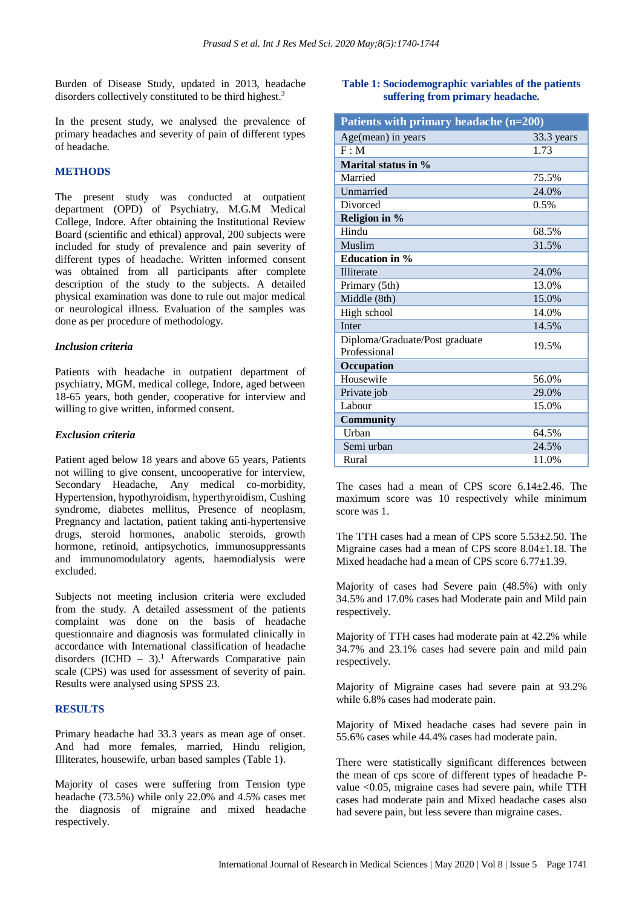Burden of Disease Study, updated in 2013, headache disorders collectively constituted to be third highest.<sup>3</sup>

In the present study, we analysed the prevalence of primary headaches and severity of pain of different types of headache.

#### **METHODS**

The present study was conducted at outpatient department (OPD) of Psychiatry, M.G.M Medical College, Indore. After obtaining the Institutional Review Board (scientific and ethical) approval, 200 subjects were included for study of prevalence and pain severity of different types of headache. Written informed consent was obtained from all participants after complete description of the study to the subjects. A detailed physical examination was done to rule out major medical or neurological illness. Evaluation of the samples was done as per procedure of methodology.

#### *Inclusion criteria*

Patients with headache in outpatient department of psychiatry, MGM, medical college, Indore, aged between 18-65 years, both gender, cooperative for interview and willing to give written, informed consent.

#### *Exclusion criteria*

Patient aged below 18 years and above 65 years, Patients not willing to give consent, uncooperative for interview, Secondary Headache, Any medical co-morbidity, Hypertension, hypothyroidism, hyperthyroidism, Cushing syndrome, diabetes mellitus, Presence of neoplasm, Pregnancy and lactation, patient taking anti-hypertensive drugs, steroid hormones, anabolic steroids, growth hormone, retinoid, antipsychotics, immunosuppressants and immunomodulatory agents, haemodialysis were excluded.

Subjects not meeting inclusion criteria were excluded from the study. A detailed assessment of the patients complaint was done on the basis of headache questionnaire and diagnosis was formulated clinically in accordance with International classification of headache disorders  $(ICHD - 3)<sup>1</sup>$  Afterwards Comparative pain scale (CPS) was used for assessment of severity of pain. Results were analysed using SPSS 23.

#### **RESULTS**

Primary headache had 33.3 years as mean age of onset. And had more females, married, Hindu religion, Illiterates, housewife, urban based samples (Table 1).

Majority of cases were suffering from Tension type headache (73.5%) while only 22.0% and 4.5% cases met the diagnosis of migraine and mixed headache respectively.

#### **Table 1: Sociodemographic variables of the patients suffering from primary headache.**

| Patients with primary headache (n=200)         |            |  |  |
|------------------------------------------------|------------|--|--|
| Age(mean) in years                             | 33.3 years |  |  |
| F : M                                          | 1.73       |  |  |
| Marital status in %                            |            |  |  |
| Married                                        | 75.5%      |  |  |
| Unmarried                                      | 24.0%      |  |  |
| Divorced                                       | 0.5%       |  |  |
| Religion in %                                  |            |  |  |
| Hindu                                          | 68.5%      |  |  |
| Muslim                                         | 31.5%      |  |  |
| <b>Education in %</b>                          |            |  |  |
| <b>Illiterate</b>                              | 24.0%      |  |  |
| Primary (5th)                                  | 13.0%      |  |  |
| Middle (8th)                                   | 15.0%      |  |  |
| High school                                    | 14.0%      |  |  |
| Inter                                          | 14.5%      |  |  |
| Diploma/Graduate/Post graduate<br>Professional | 19.5%      |  |  |
| Occupation                                     |            |  |  |
| Housewife                                      | 56.0%      |  |  |
| Private job                                    | 29.0%      |  |  |
| Labour                                         | 15.0%      |  |  |
| <b>Community</b>                               |            |  |  |
| Urban                                          | 64.5%      |  |  |
| Semi urban                                     | 24.5%      |  |  |
| Rural                                          | 11.0%      |  |  |

The cases had a mean of CPS score 6.14±2.46. The maximum score was 10 respectively while minimum score was 1.

The TTH cases had a mean of CPS score 5.53±2.50. The Migraine cases had a mean of CPS score 8.04±1.18. The Mixed headache had a mean of CPS score 6.77±1.39.

Majority of cases had Severe pain (48.5%) with only 34.5% and 17.0% cases had Moderate pain and Mild pain respectively.

Majority of TTH cases had moderate pain at 42.2% while 34.7% and 23.1% cases had severe pain and mild pain respectively.

Majority of Migraine cases had severe pain at 93.2% while 6.8% cases had moderate pain.

Majority of Mixed headache cases had severe pain in 55.6% cases while 44.4% cases had moderate pain.

There were statistically significant differences between the mean of cps score of different types of headache Pvalue <0.05, migraine cases had severe pain, while TTH cases had moderate pain and Mixed headache cases also had severe pain, but less severe than migraine cases.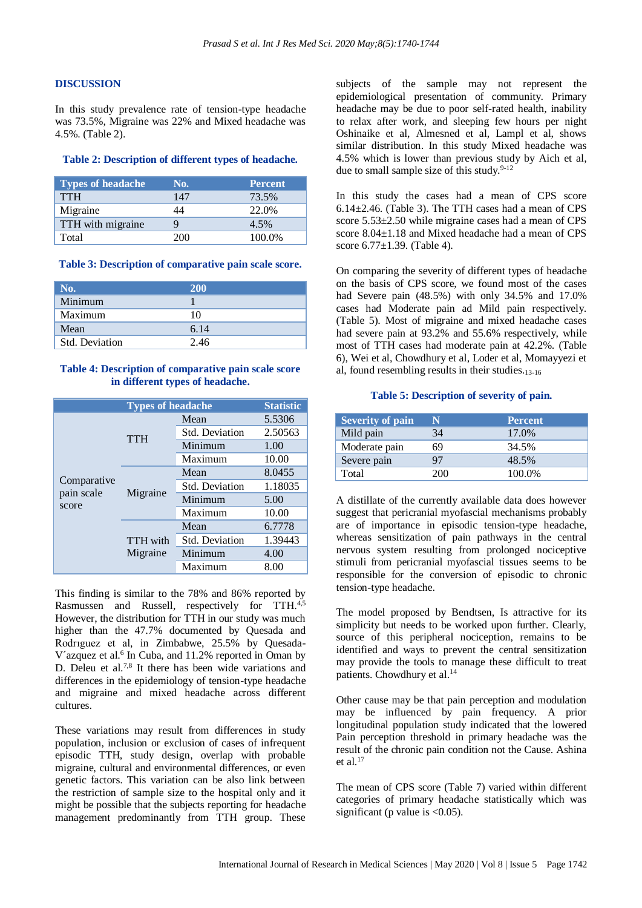#### **DISCUSSION**

In this study prevalence rate of tension-type headache was 73.5%, Migraine was 22% and Mixed headache was 4.5%. (Table 2).

#### **Table 2: Description of different types of headache.**

| <b>Types of headache</b> | No.  | <b>Percent</b> |
|--------------------------|------|----------------|
| <b>TTH</b>               | 147  | 73.5%          |
| Migraine                 |      | 22.0%          |
| TTH with migraine        |      | 4.5%           |
| Total                    | 200- | 100.0%         |

#### **Table 3: Description of comparative pain scale score.**

| No.            | <b>200</b> |
|----------------|------------|
| Minimum        |            |
| Maximum        | 10         |
| Mean           | 6.14       |
| Std. Deviation | 2.46       |

#### **Table 4: Description of comparative pain scale score in different types of headache.**

|                                    | <b>Types of headache</b>    |                       |         |
|------------------------------------|-----------------------------|-----------------------|---------|
| Comparative<br>pain scale<br>score | <b>TTH</b>                  | Mean                  | 5.5306  |
|                                    |                             | <b>Std. Deviation</b> | 2.50563 |
|                                    |                             | Minimum               | 1.00    |
|                                    |                             | Maximum               | 10.00   |
|                                    | Migraine                    | Mean                  | 8.0455  |
|                                    |                             | <b>Std. Deviation</b> | 1.18035 |
|                                    |                             | Minimum               | 5.00    |
|                                    |                             | Maximum               | 10.00   |
|                                    | <b>TTH</b> with<br>Migraine | Mean                  | 6.7778  |
|                                    |                             | Std. Deviation        | 1.39443 |
|                                    |                             | Minimum               | 4.00    |
|                                    |                             | Maximum               | 8.00    |

This finding is similar to the 78% and 86% reported by Rasmussen and Russell, respectively for TTH.<sup>4,5</sup> However, the distribution for TTH in our study was much higher than the 47.7% documented by Quesada and Rodrıguez et al, in Zimbabwe, 25.5% by Quesada-V'azquez et al.<sup>6</sup> In Cuba, and 11.2% reported in Oman by D. Deleu et al.<sup>7,8</sup> It there has been wide variations and differences in the epidemiology of tension-type headache and migraine and mixed headache across different cultures.

These variations may result from differences in study population, inclusion or exclusion of cases of infrequent episodic TTH, study design, overlap with probable migraine, cultural and environmental differences, or even genetic factors. This variation can be also link between the restriction of sample size to the hospital only and it might be possible that the subjects reporting for headache management predominantly from TTH group. These subjects of the sample may not represent the epidemiological presentation of community. Primary headache may be due to poor self-rated health, inability to relax after work, and sleeping few hours per night Oshinaike et al, Almesned et al, Lampl et al, shows similar distribution. In this study Mixed headache was 4.5% which is lower than previous study by Aich et al, due to small sample size of this study. $9-12$ 

In this study the cases had a mean of CPS score 6.14±2.46. (Table 3). The TTH cases had a mean of CPS score 5.53±2.50 while migraine cases had a mean of CPS score 8.04±1.18 and Mixed headache had a mean of CPS score 6.77±1.39. (Table 4).

On comparing the severity of different types of headache on the basis of CPS score, we found most of the cases had Severe pain (48.5%) with only 34.5% and 17.0% cases had Moderate pain ad Mild pain respectively. (Table 5). Most of migraine and mixed headache cases had severe pain at 93.2% and 55.6% respectively, while most of TTH cases had moderate pain at 42.2%. (Table 6), Wei et al, Chowdhury et al, Loder et al, Momayyezi et al, found resembling results in their studies.13-16

#### **Table 5: Description of severity of pain.**

| Severity of pain | N   | <b>Percent</b> |
|------------------|-----|----------------|
| Mild pain        | 34  | 17.0%          |
| Moderate pain    | 69  | 34.5%          |
| Severe pain      | 97  | 48.5%          |
| Total            | 200 | 100.0%         |

A distillate of the currently available data does however suggest that pericranial myofascial mechanisms probably are of importance in episodic tension-type headache, whereas sensitization of pain pathways in the central nervous system resulting from prolonged nociceptive stimuli from pericranial myofascial tissues seems to be responsible for the conversion of episodic to chronic tension-type headache.

The model proposed by Bendtsen, Is attractive for its simplicity but needs to be worked upon further. Clearly, source of this peripheral nociception, remains to be identified and ways to prevent the central sensitization may provide the tools to manage these difficult to treat patients. Chowdhury et al.<sup>14</sup>

Other cause may be that pain perception and modulation may be influenced by pain frequency. A prior longitudinal population study indicated that the lowered Pain perception threshold in primary headache was the result of the chronic pain condition not the Cause. Ashina et al. $17$ 

The mean of CPS score (Table 7) varied within different categories of primary headache statistically which was significant (p value is  $<0.05$ ).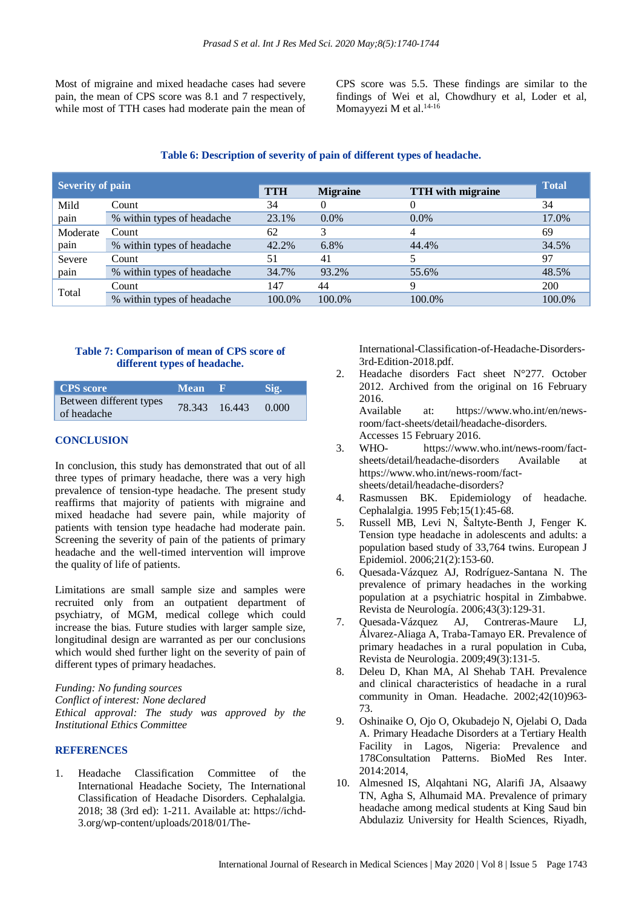Most of migraine and mixed headache cases had severe pain, the mean of CPS score was 8.1 and 7 respectively, while most of TTH cases had moderate pain the mean of CPS score was 5.5. These findings are similar to the findings of Wei et al, Chowdhury et al, Loder et al, Momayyezi M et al. 14-16

#### **Table 6: Description of severity of pain of different types of headache.**

|                         |                            |            |                 |                          | <b>Total</b> |  |
|-------------------------|----------------------------|------------|-----------------|--------------------------|--------------|--|
| <b>Severity of pain</b> |                            | <b>TTH</b> | <b>Migraine</b> | <b>TTH</b> with migraine |              |  |
| Mild                    | Count                      | 34         | $\theta$        | $\theta$                 | 34           |  |
| pain                    | % within types of headache | 23.1%      | $0.0\%$         | $0.0\%$                  | 17.0%        |  |
| Moderate                | Count                      | 62         |                 |                          | 69           |  |
| pain                    | % within types of headache | 42.2%      | 6.8%            | 44.4%                    | 34.5%        |  |
| Severe                  | Count                      | 51         | 41              |                          | 97           |  |
| pain                    | % within types of headache | 34.7%      | 93.2%           | 55.6%                    | 48.5%        |  |
| Total                   | Count                      | 147        | 44              | Q                        | 200          |  |
|                         | % within types of headache | 100.0%     | 100.0%          | 100.0%                   | 100.0%       |  |

#### **Table 7: Comparison of mean of CPS score of different types of headache.**

| <b>CPS</b> score                       | <b>Mean</b> | -к            | Sig.  |
|----------------------------------------|-------------|---------------|-------|
| Between different types<br>of headache |             | 78.343 16.443 | 0.000 |

#### **CONCLUSION**

In conclusion, this study has demonstrated that out of all three types of primary headache, there was a very high prevalence of tension-type headache. The present study reaffirms that majority of patients with migraine and mixed headache had severe pain, while majority of patients with tension type headache had moderate pain. Screening the severity of pain of the patients of primary headache and the well-timed intervention will improve the quality of life of patients.

Limitations are small sample size and samples were recruited only from an outpatient department of psychiatry, of MGM, medical college which could increase the bias. Future studies with larger sample size, longitudinal design are warranted as per our conclusions which would shed further light on the severity of pain of different types of primary headaches.

*Funding: No funding sources Conflict of interest: None declared Ethical approval: The study was approved by the Institutional Ethics Committee*

#### **REFERENCES**

1. Headache Classification Committee of the International Headache Society, The International Classification of Headache Disorders. Cephalalgia. 2018; 38 (3rd ed): 1-211. Available at: https://ichd-3.org/wp-content/uploads/2018/01/TheInternational-Classification-of-Headache-Disorders-3rd-Edition-2018.pdf.

2. Headache disorders Fact sheet N°277. October 2012. Archived from the original on 16 February 2016.

Available at: https://www.who.int/en/newsroom/fact-sheets/detail/headache-disorders. Accesses 15 February 2016.

- 3. WHO- https://www.who.int/news-room/factsheets/detail/headache-disorders Available at https://www.who.int/news-room/factsheets/detail/headache-disorders?
- 4. Rasmussen BK. Epidemiology of headache. Cephalalgia. 1995 Feb;15(1):45-68.
- 5. Russell MB, Levi N, Šaltyte-Benth J, Fenger K. Tension type headache in adolescents and adults: a population based study of 33,764 twins. European J Epidemiol. 2006;21(2):153-60.
- 6. Quesada-Vázquez AJ, Rodríguez-Santana N. The prevalence of primary headaches in the working population at a psychiatric hospital in Zimbabwe. Revista de Neurología. 2006;43(3):129-31.
- 7. Quesada-Vázquez AJ, Contreras-Maure LJ, Álvarez-Aliaga A, Traba-Tamayo ER. Prevalence of primary headaches in a rural population in Cuba, Revista de Neurologia. 2009;49(3):131-5.
- 8. Deleu D, Khan MA, Al Shehab TAH. Prevalence and clinical characteristics of headache in a rural community in Oman. Headache. 2002;42(10)963- 73.
- 9. Oshinaike O, Ojo O, Okubadejo N, Ojelabi O, Dada A. Primary Headache Disorders at a Tertiary Health Facility in Lagos, Nigeria: Prevalence and 178Consultation Patterns. BioMed Res Inter. 2014:2014,
- 10. Almesned IS, Alqahtani NG, Alarifi JA, Alsaawy TN, Agha S, Alhumaid MA. Prevalence of primary headache among medical students at King Saud bin Abdulaziz University for Health Sciences, Riyadh,